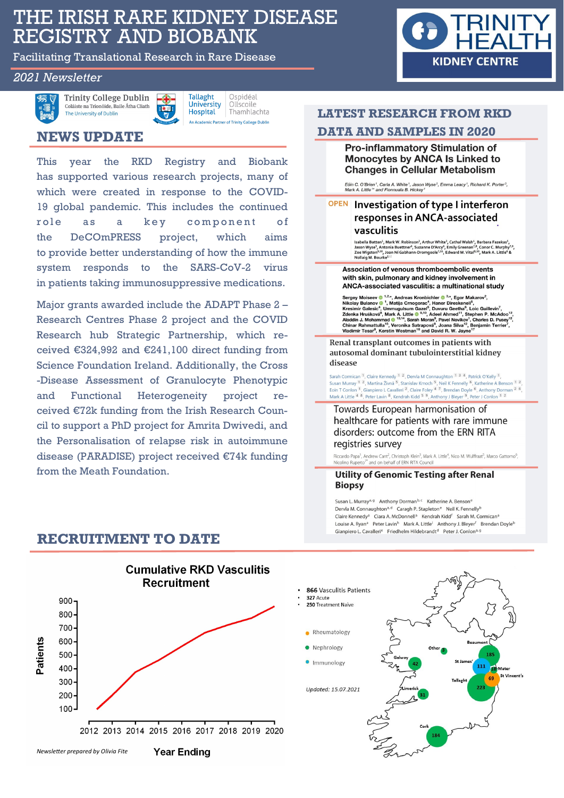# THE IRISH RARE KIDNEY DISEASE REGISTRY AND BIOBANK

Facilitating Translational Research in Rare Disease

## *2021 Newsletter*



**Trinity College Dublin** Coláiste na Tríonóide, Baile Átha Cliath The University of Dublin



**Tallaght** Ospidéal University Ollscoile **Hospital** Thamhlachta An Academic Partner of Trinity College Dublin

## **NEWS UPDATE**

This year the RKD Registry and Biobank has supported various research projects, many of which were created in response to the COVID-19 global pandemic. This includes the continued role as a key component of the DeCOmPRESS project, which aims to provide better understanding of how the immune system responds to the SARS-CoV-2 virus in patients taking immunosuppressive medications.

Major grants awarded include the ADAPT Phase 2 – Research Centres Phase 2 project and the COVID Research hub Strategic Partnership, which received €324,992 and €241,100 direct funding from Science Foundation Ireland. Additionally, the Cross -Disease Assessment of Granulocyte Phenotypic and Functional Heterogeneity project received €72k funding from the Irish Research Council to support a PhD project for Amrita Dwivedi, and the Personalisation of relapse risk in autoimmune disease (PARADISE) project received €74k funding from the Meath Foundation.

## **LATEST RESEARCH FROM RKD**

**KIDNEY CENTRE** 

## **DATA AND SAMPLES IN 2020**

Pro-inflammatory Stimulation of Monocytes by ANCA Is Linked to **Changes in Cellular Metabolism** 

Eóin C. O'Brien <sup>1</sup>, Carla A. White <sup>1</sup>, Jason Wyse<sup>2</sup>, Emma Leacy <sup>1</sup>, Richard K. Porter<sup>3</sup>,<br>Mark A. Little <sup>1</sup>\* and Fionnuala B. Hickey <sup>1</sup>

## OPEN Investigation of type I interferon responses in ANCA-associated vasculitis

V AJ OV AT I LIMIT (NOVIS AT A THE PROPRET AT A LIMIT OF A LIMIT ASSA PROPRET ASSALS A LIMIT OF A LIMIT OF A LIMIT OF A LIMIT OF A LIMIT OF A LIMIT OF A LIMIT OF A LIMIT OF A LIMIT OF A LIMIT OF A MONOR VIOLET AND NOT CONV

Association of venous thromboembolic events with skin, pulmonary and kidney involvement in ANCA-associated vasculitis: a multinational study

Sergey Moiseev **©** 1,<sup>2,</sup><sup>4</sup>, Andreas Kronbichler **©** <sup>3,\*</sup>, Egor Makarov<sup>2</sup>,<br>Nikolay Bulanov **©** <sup>1</sup>, Matija Crnogorac<sup>4</sup>, Haner Direskeneli<sup>5</sup>,<br>Kresimir Galesic<sup>4</sup>, Ummuguisum Gazei<sup>9</sup>, Duvuru Geetha <sup>1</sup>, Loic Guillevin

Renal transplant outcomes in patients with autosomal dominant tubulointerstitial kidney disease

Sarah Cormican <sup>1</sup>, Claire Kennedy <sup>1</sup> <sup>2</sup>, Dervla M Connaughton <sup>1</sup> <sup>3</sup> <sup>4</sup>, Patrick O'Kelly <sup>1</sup>,<br>Susan Murray <sup>1</sup> <sup>2</sup>, Martina 2rvná <sup>5</sup>, Stanislav Kmoch <sup>5</sup>, Neil K Fennelly <sup>6</sup>, Katherine A Benson <sup>1</sup> <sup>2</sup>,<br>Eoin T Conl

### Towards European harmonisation of healthcare for patients with rare immune disorders: outcome from the ERN RITA registries survey

Riccardo Papa<sup>1</sup>, Andrew Cant<sup>2</sup>, Christoph Klein<sup>3</sup>, Mark A. Little<sup>4</sup>, Nico M. Wulffraat<sup>5</sup>, Marco Gattorno<sup>6</sup>,<br>Nicolino Ruperto<sup>7</sup> and on behalf of ERN RITA Council

### **Utility of Genomic Testing after Renal Biopsy**

Susan L. Murray<sup>a, g</sup> Anthony Dorman<sup>b, c</sup> Katherine A. Benson<sup>e</sup> Dervla M. Connaughton<sup>a, d</sup> Caragh P. Stapleton<sup>e</sup> Neil K. Fennelly<sup>t</sup> Claire Kennedy<sup>a</sup> Ciara A. McDonnell<sup>a</sup> Kendrah Kidd<sup>f</sup> Sarah M. Cormican<sup>a</sup> Louise A. Ryan<sup>a</sup> Peter Lavin<sup>h</sup> Mark A. Little<sup>i</sup> Anthony J. Bleyer<sup>f</sup> Brendan Doyle<sup>b</sup> Gianpiero L. Cavalleri<sup>e</sup> Friedhelm Hildebrandt<sup>d</sup> Peter J. Conlon<sup>a, g</sup>



## **RECRUITMENT TO DATE**